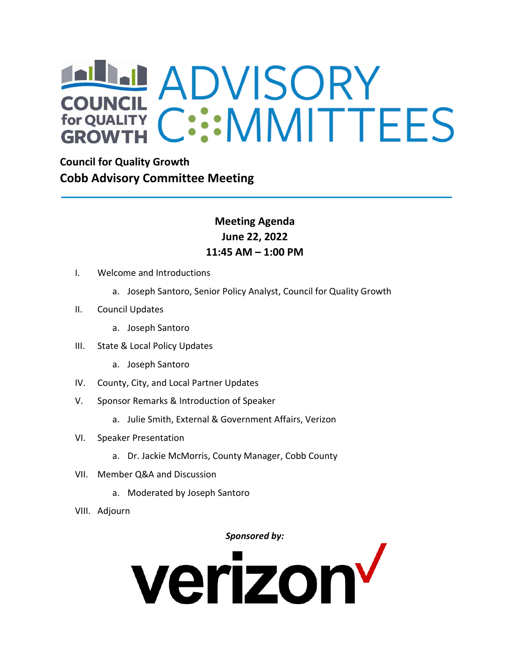# ADVISORY **GROWTH**

**Council for Quality Growth Cobb Advisory Committee Meeting**

### **Meeting Agenda June 22, 2022 11:45 AM – 1:00 PM**

- I. Welcome and Introductions
	- a. Joseph Santoro, Senior Policy Analyst, Council for Quality Growth
- II. Council Updates
	- a. Joseph Santoro
- III. State & Local Policy Updates
	- a. Joseph Santoro
- IV. County, City, and Local Partner Updates
- V. Sponsor Remarks & Introduction of Speaker
	- a. Julie Smith, External & Government Affairs, Verizon
- VI. Speaker Presentation
	- a. Dr. Jackie McMorris, County Manager, Cobb County
- VII. Member Q&A and Discussion
	- a. Moderated by Joseph Santoro
- VIII. Adjourn

#### *Sponsored by:*

# verizon